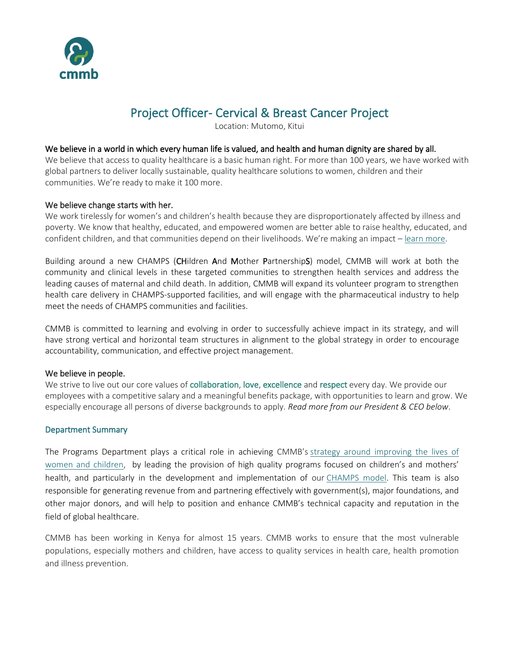

# Project Officer- Cervical & Breast Cancer Project

Location: Mutomo, Kitui

#### We believe in a world in which every human life is valued, and health and human dignity are shared by all.

We believe that access to quality healthcare is a basic human right. For more than 100 years, we have worked with global partners to deliver locally sustainable, quality healthcare solutions to women, children and their communities. We're ready to make it 100 more.

### We believe change starts with her.

We work tirelessly for women's and children's health because they are disproportionately affected by illness and poverty. We know that healthy, educated, and empowered women are better able to raise healthy, educated, and confident children, and that communities depend on their livelihoods. We're making an impact – [learn more.](https://cmmb.org/global-family-annual-report/)

Building around a new CHAMPS (CHildren And Mother PartnershipS) model, CMMB will work at both the community and clinical levels in these targeted communities to strengthen health services and address the leading causes of maternal and child death. In addition, CMMB will expand its volunteer program to strengthen health care delivery in CHAMPS-supported facilities, and will engage with the pharmaceutical industry to help meet the needs of CHAMPS communities and facilities.

CMMB is committed to learning and evolving in order to successfully achieve impact in its strategy, and will have strong vertical and horizontal team structures in alignment to the global strategy in order to encourage accountability, communication, and effective project management.

#### We believe in people.

We strive to live out our core values of collaboration, love, excellence and respect every day. We provide our employees with a competitive salary and a meaningful benefits package, with opportunities to learn and grow. We especially encourage all persons of diverse backgrounds to apply. *Read more from our President & CEO below*.

### Department Summary

The Programs Department plays a critical role in achieving CMMB's [strategy around improving the lives of](http://cmmb.org/about-us/why-women-children/)  [women and children,](http://cmmb.org/about-us/why-women-children/) by leading the provision of high quality programs focused on children's and mothers' health, and particularly in the development and implementation of our [CHAMPS model.](http://cmmb.org/programs/champs/) This team is also responsible for generating revenue from and partnering effectively with government(s), major foundations, and other major donors, and will help to position and enhance CMMB's technical capacity and reputation in the field of global healthcare.

CMMB has been working in Kenya for almost 15 years. CMMB works to ensure that the most vulnerable populations, especially mothers and children, have access to quality services in health care, health promotion and illness prevention.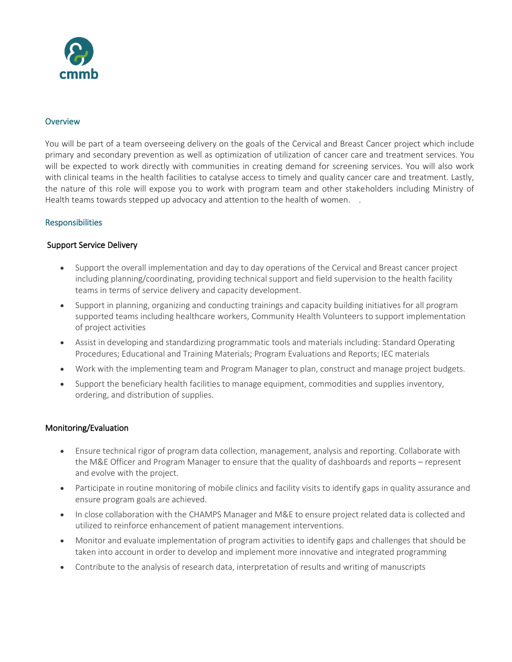

### **Overview**

You will be part of a team overseeing delivery on the goals of the Cervical and Breast Cancer project which include primary and secondary prevention as well as optimization of utilization of cancer care and treatment services. You will be expected to work directly with communities in creating demand for screening services. You will also work with clinical teams in the health facilities to catalyse access to timely and quality cancer care and treatment. Lastly, the nature of this role will expose you to work with program team and other stakeholders including Ministry of Health teams towards stepped up advocacy and attention to the health of women. .

# **Responsibilities**

# Support Service Delivery

- Support the overall implementation and day to day operations of the Cervical and Breast cancer project including planning/coordinating, providing technical support and field supervision to the health facility teams in terms of service delivery and capacity development.
- Support in planning, organizing and conducting trainings and capacity building initiatives for all program supported teams including healthcare workers, Community Health Volunteers to support implementation of project activities
- Assist in developing and standardizing programmatic tools and materials including: Standard Operating Procedures; Educational and Training Materials; Program Evaluations and Reports; IEC materials
- Work with the implementing team and Program Manager to plan, construct and manage project budgets.
- Support the beneficiary health facilities to manage equipment, commodities and supplies inventory, ordering, and distribution of supplies.

### Monitoring/Evaluation

- Ensure technical rigor of program data collection, management, analysis and reporting. Collaborate with the M&E Officer and Program Manager to ensure that the quality of dashboards and reports – represent and evolve with the project.
- Participate in routine monitoring of mobile clinics and facility visits to identify gaps in quality assurance and ensure program goals are achieved.
- In close collaboration with the CHAMPS Manager and M&E to ensure project related data is collected and utilized to reinforce enhancement of patient management interventions.
- Monitor and evaluate implementation of program activities to identify gaps and challenges that should be taken into account in order to develop and implement more innovative and integrated programming
- Contribute to the analysis of research data, interpretation of results and writing of manuscripts